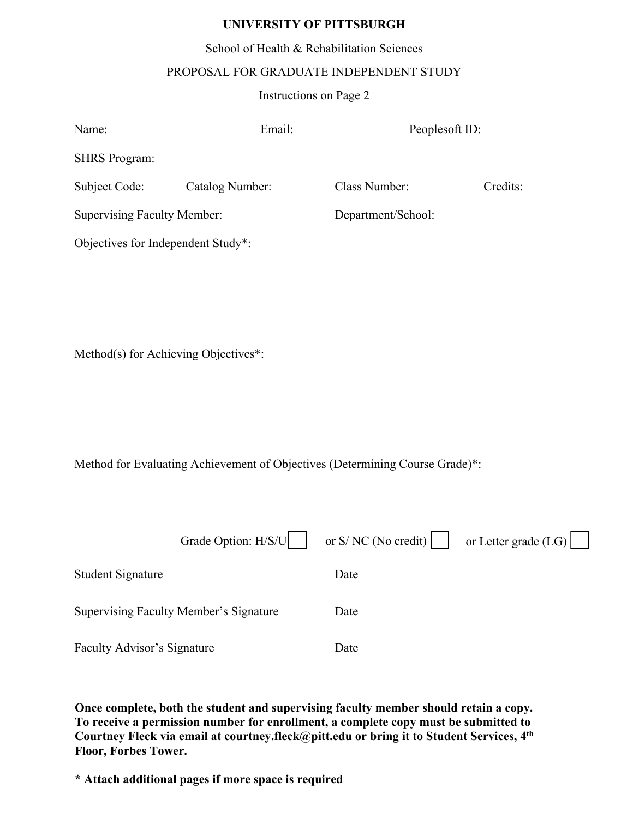### **UNIVERSITY OF PITTSBURGH**

School of Health & Rehabilitation Sciences

#### PROPOSAL FOR GRADUATE INDEPENDENT STUDY

#### Instructions on Page 2

| Name:                              | Email:          | Peoplesoft ID:     |          |  |  |
|------------------------------------|-----------------|--------------------|----------|--|--|
| <b>SHRS</b> Program:               |                 |                    |          |  |  |
| Subject Code:                      | Catalog Number: | Class Number:      | Credits: |  |  |
| <b>Supervising Faculty Member:</b> |                 | Department/School: |          |  |  |
| Objectives for Independent Study*: |                 |                    |          |  |  |

Method(s) for Achieving Objectives\*:

Method for Evaluating Achievement of Objectives (Determining Course Grade)\*:

|                                               | Grade Option: H/S/U | or $S/NC$ (No credit) | or Letter grade $(LG)$ |
|-----------------------------------------------|---------------------|-----------------------|------------------------|
| <b>Student Signature</b>                      |                     | Date                  |                        |
| <b>Supervising Faculty Member's Signature</b> |                     | Date                  |                        |
| <b>Faculty Advisor's Signature</b>            |                     | Date                  |                        |

**Once complete, both the student and supervising faculty member should retain a copy. To receive a permission number for enrollment, a complete copy must be submitted to Courtney Fleck via email at courtney.fleck@pitt.edu or bring it to Student Services, 4 th Floor, Forbes Tower.**

**\* Attach additional pages if more space is required**